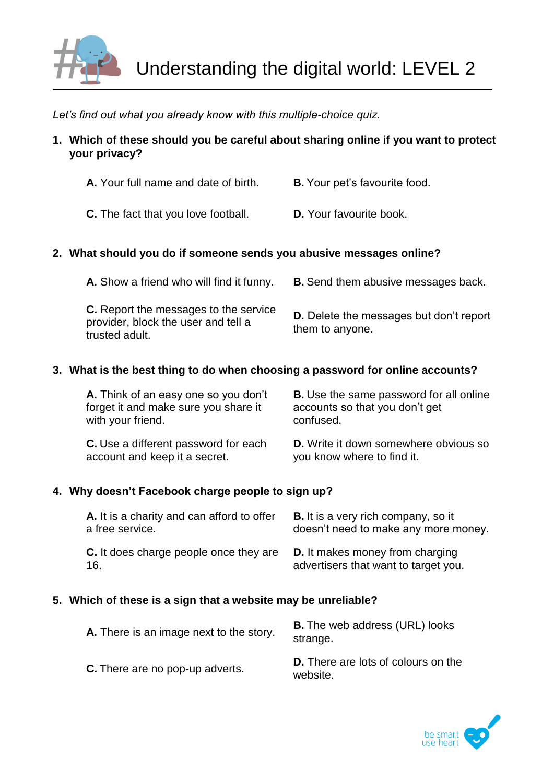

*Let's find out what you already know with this multiple-choice quiz.*

**1. Which of these should you be careful about sharing online if you want to protect your privacy?**

| A. Your full name and date of birth. | <b>B.</b> Your pet's favourite food. |
|--------------------------------------|--------------------------------------|
|                                      |                                      |

**C.** The fact that you love football. **D.** Your favourite book.

# **2. What should you do if someone sends you abusive messages online?**

| A. Show a friend who will find it funny.                                                              | <b>B.</b> Send them abusive messages back.                        |
|-------------------------------------------------------------------------------------------------------|-------------------------------------------------------------------|
| <b>C.</b> Report the messages to the service<br>provider, block the user and tell a<br>trusted adult. | <b>D.</b> Delete the messages but don't report<br>them to anyone. |

# **3. What is the best thing to do when choosing a password for online accounts?**

| A. Think of an easy one so you don't        | <b>B.</b> Use the same password for all online |
|---------------------------------------------|------------------------------------------------|
| forget it and make sure you share it        | accounts so that you don't get                 |
| with your friend.                           | confused.                                      |
| <b>C.</b> Use a different password for each | <b>D.</b> Write it down somewhere obvious so   |
| account and keep it a secret.               | you know where to find it.                     |

# **4. Why doesn't Facebook charge people to sign up?**

| A. It is a charity and can afford to offer | <b>B.</b> It is a very rich company, so it |
|--------------------------------------------|--------------------------------------------|
| a free service.                            | doesn't need to make any more money.       |
| C. It does charge people once they are     | <b>D.</b> It makes money from charging     |
| -16.                                       | advertisers that want to target you.       |

### **5. Which of these is a sign that a website may be unreliable?**

| A. There is an image next to the story. | <b>B.</b> The web address (URL) looks<br>strange.      |
|-----------------------------------------|--------------------------------------------------------|
| <b>C.</b> There are no pop-up adverts.  | <b>D.</b> There are lots of colours on the<br>website. |